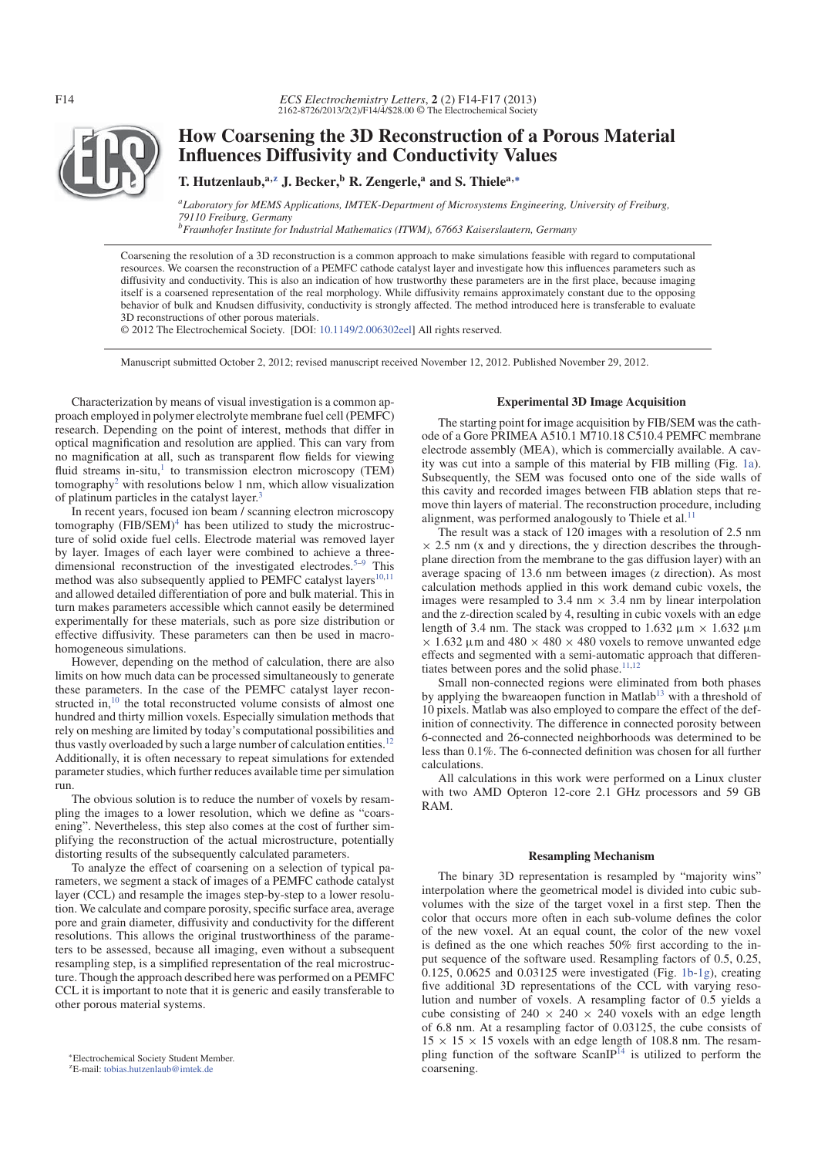

# **How Coarsening the 3D Reconstruction of a Porous Material Influences Diffusivity and Conductivity Values**

## **T. Hutzenlaub,a,z J. Becker,<sup>b</sup> R. Zengerle,<sup>a</sup> and S. Thielea,<sup>∗</sup>**

*aLaboratory for MEMS Applications, IMTEK-Department of Microsystems Engineering, University of Freiburg, 79110 Freiburg, Germany*

*bFraunhofer Institute for Industrial Mathematics (ITWM), 67663 Kaiserslautern, Germany*

Coarsening the resolution of a 3D reconstruction is a common approach to make simulations feasible with regard to computational resources. We coarsen the reconstruction of a PEMFC cathode catalyst layer and investigate how this influences parameters such as diffusivity and conductivity. This is also an indication of how trustworthy these parameters are in the first place, because imaging itself is a coarsened representation of the real morphology. While diffusivity remains approximately constant due to the opposing behavior of bulk and Knudsen diffusivity, conductivity is strongly affected. The method introduced here is transferable to evaluate 3D reconstructions of other porous materials.

© 2012 The Electrochemical Society. [DOI: 10.1149/2.006302eel] All rights reserved.

Manuscript submitted October 2, 2012; revised manuscript received November 12, 2012. Published November 29, 2012.

Characterization by means of visual investigation is a common approach employed in polymer electrolyte membrane fuel cell (PEMFC) research. Depending on the point of interest, methods that differ in optical magnification and resolution are applied. This can vary from no magnification at all, such as transparent flow fields for viewing fluid streams in-situ, $1$  to transmission electron microscopy (TEM) tomography<sup>2</sup> with resolutions below 1 nm, which allow visualization of platinum particles in the catalyst layer.<sup>3</sup>

In recent years, focused ion beam / scanning electron microscopy tomography  $(FIB/SEM)^4$  has been utilized to study the microstructure of solid oxide fuel cells. Electrode material was removed layer by layer. Images of each layer were combined to achieve a threedimensional reconstruction of the investigated electrodes.<sup>5–9</sup> This method was also subsequently applied to PEMFC catalyst layers $10,11$ and allowed detailed differentiation of pore and bulk material. This in turn makes parameters accessible which cannot easily be determined experimentally for these materials, such as pore size distribution or effective diffusivity. These parameters can then be used in macrohomogeneous simulations.

However, depending on the method of calculation, there are also limits on how much data can be processed simultaneously to generate these parameters. In the case of the PEMFC catalyst layer reconstructed in,<sup>10</sup> the total reconstructed volume consists of almost one hundred and thirty million voxels. Especially simulation methods that rely on meshing are limited by today's computational possibilities and thus vastly overloaded by such a large number of calculation entities.<sup>12</sup> Additionally, it is often necessary to repeat simulations for extended parameter studies, which further reduces available time per simulation run.

The obvious solution is to reduce the number of voxels by resampling the images to a lower resolution, which we define as "coarsening". Nevertheless, this step also comes at the cost of further simplifying the reconstruction of the actual microstructure, potentially distorting results of the subsequently calculated parameters.

To analyze the effect of coarsening on a selection of typical parameters, we segment a stack of images of a PEMFC cathode catalyst layer (CCL) and resample the images step-by-step to a lower resolution. We calculate and compare porosity, specific surface area, average pore and grain diameter, diffusivity and conductivity for the different resolutions. This allows the original trustworthiness of the parameters to be assessed, because all imaging, even without a subsequent resampling step, is a simplified representation of the real microstructure. Though the approach described here was performed on a PEMFC CCL it is important to note that it is generic and easily transferable to other porous material systems.

 $ZE$ -mail: tobias.hutzenlaub@imtek.de

### **Experimental 3D Image Acquisition**

The starting point for image acquisition by FIB/SEM was the cathode of a Gore PRIMEA A510.1 M710.18 C510.4 PEMFC membrane electrode assembly (MEA), which is commercially available. A cavity was cut into a sample of this material by FIB milling (Fig. 1a). Subsequently, the SEM was focused onto one of the side walls of this cavity and recorded images between FIB ablation steps that remove thin layers of material. The reconstruction procedure, including alignment, was performed analogously to Thiele et al.<sup>11</sup>

The result was a stack of 120 images with a resolution of 2.5 nm  $\times$  2.5 nm (x and y directions, the y direction describes the throughplane direction from the membrane to the gas diffusion layer) with an average spacing of 13.6 nm between images (z direction). As most calculation methods applied in this work demand cubic voxels, the images were resampled to 3.4 nm  $\times$  3.4 nm by linear interpolation and the z-direction scaled by 4, resulting in cubic voxels with an edge length of 3.4 nm. The stack was cropped to 1.632  $\mu$ m  $\times$  1.632  $\mu$ m  $\times$  1.632  $\mu$ m and 480  $\times$  480  $\times$  480 voxels to remove unwanted edge effects and segmented with a semi-automatic approach that differentiates between pores and the solid phase.<sup>11,12</sup>

Small non-connected regions were eliminated from both phases by applying the bwareaopen function in Matlab<sup>13</sup> with a threshold of 10 pixels. Matlab was also employed to compare the effect of the definition of connectivity. The difference in connected porosity between 6-connected and 26-connected neighborhoods was determined to be less than 0.1%. The 6-connected definition was chosen for all further calculations.

All calculations in this work were performed on a Linux cluster with two AMD Opteron 12-core 2.1 GHz processors and 59 GB RAM.

#### **Resampling Mechanism**

The binary 3D representation is resampled by "majority wins" interpolation where the geometrical model is divided into cubic subvolumes with the size of the target voxel in a first step. Then the color that occurs more often in each sub-volume defines the color of the new voxel. At an equal count, the color of the new voxel is defined as the one which reaches 50% first according to the input sequence of the software used. Resampling factors of 0.5, 0.25,  $0.125$ ,  $0.0625$  and  $0.03125$  were investigated (Fig. 1b-1g), creating five additional 3D representations of the CCL with varying resolution and number of voxels. A resampling factor of 0.5 yields a cube consisting of  $240 \times 240 \times 240$  voxels with an edge length of 6.8 nm. At a resampling factor of 0.03125, the cube consists of  $15 \times 15 \times 15$  voxels with an edge length of 108.8 nm. The resampling function of the software  $ScanIP^{14}$  is utilized to perform the coarsening.

<sup>∗</sup>Electrochemical Society Student Member.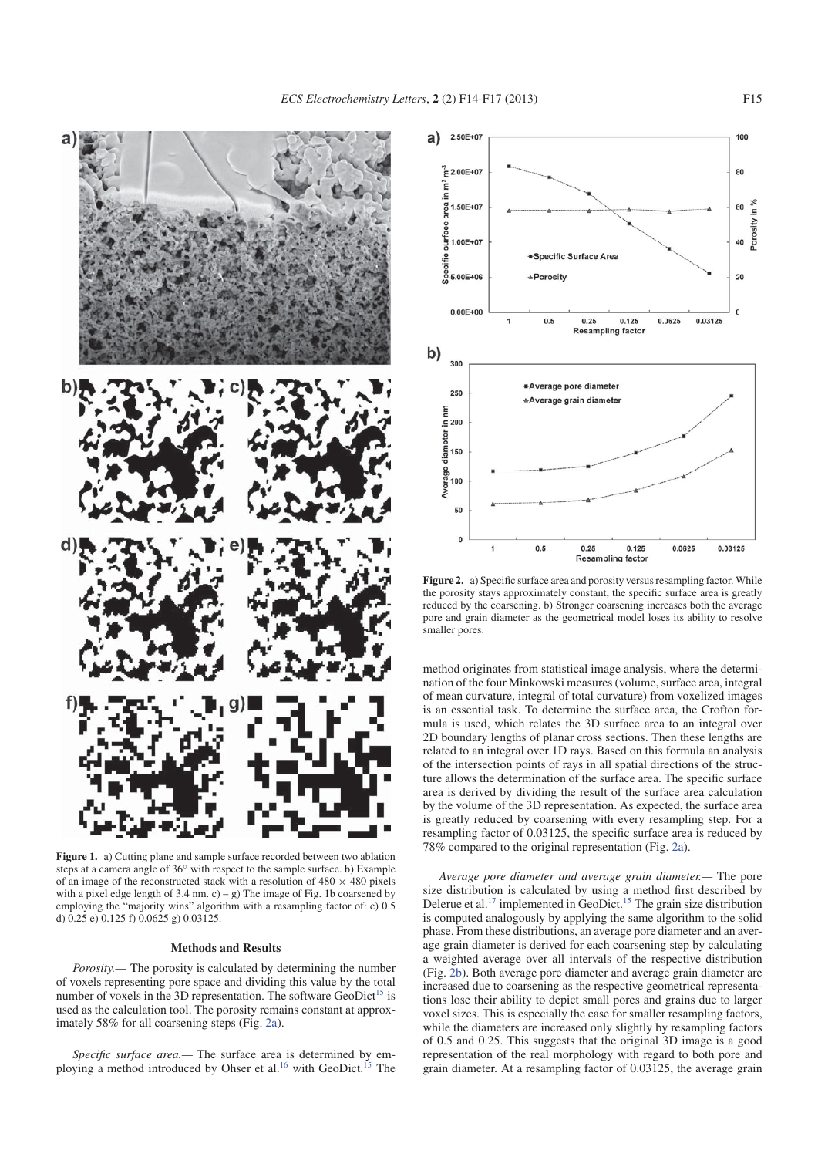

**Figure 1.** a) Cutting plane and sample surface recorded between two ablation steps at a camera angle of  $36°$  with respect to the sample surface. b) Example of an image of the reconstructed stack with a resolution of  $480 \times 480$  pixels with a pixel edge length of  $3.4$  nm. c) – g) The image of Fig. 1b coarsened by employing the "majority wins" algorithm with a resampling factor of: c) 0.5 d)  $0.25$  e)  $0.125$  f)  $0.0625$  g)  $0.03125$ .

#### **Methods and Results**

*Porosity.*— The porosity is calculated by determining the number of voxels representing pore space and dividing this value by the total number of voxels in the 3D representation. The software GeoDict<sup>15</sup> is used as the calculation tool. The porosity remains constant at approximately 58% for all coarsening steps (Fig. 2a).

*Specific surface area.—* The surface area is determined by employing a method introduced by Ohser et al.<sup>16</sup> with GeoDict.<sup>15</sup> The



**Figure 2.** a) Specific surface area and porosity versus resampling factor. While the porosity stays approximately constant, the specific surface area is greatly reduced by the coarsening. b) Stronger coarsening increases both the average pore and grain diameter as the geometrical model loses its ability to resolve smaller pores.

method originates from statistical image analysis, where the determination of the four Minkowski measures (volume, surface area, integral of mean curvature, integral of total curvature) from voxelized images is an essential task. To determine the surface area, the Crofton formula is used, which relates the 3D surface area to an integral over 2D boundary lengths of planar cross sections. Then these lengths are related to an integral over 1D rays. Based on this formula an analysis of the intersection points of rays in all spatial directions of the structure allows the determination of the surface area. The specific surface area is derived by dividing the result of the surface area calculation by the volume of the 3D representation. As expected, the surface area is greatly reduced by coarsening with every resampling step. For a resampling factor of 0.03125, the specific surface area is reduced by 78% compared to the original representation (Fig. 2a).

*Average pore diameter and average grain diameter.—* The pore size distribution is calculated by using a method first described by Delerue et al.<sup>17</sup> implemented in GeoDict.<sup>15</sup> The grain size distribution is computed analogously by applying the same algorithm to the solid phase. From these distributions, an average pore diameter and an average grain diameter is derived for each coarsening step by calculating a weighted average over all intervals of the respective distribution (Fig. 2b). Both average pore diameter and average grain diameter are increased due to coarsening as the respective geometrical representations lose their ability to depict small pores and grains due to larger voxel sizes. This is especially the case for smaller resampling factors, while the diameters are increased only slightly by resampling factors of 0.5 and 0.25. This suggests that the original 3D image is a good representation of the real morphology with regard to both pore and grain diameter. At a resampling factor of 0.03125, the average grain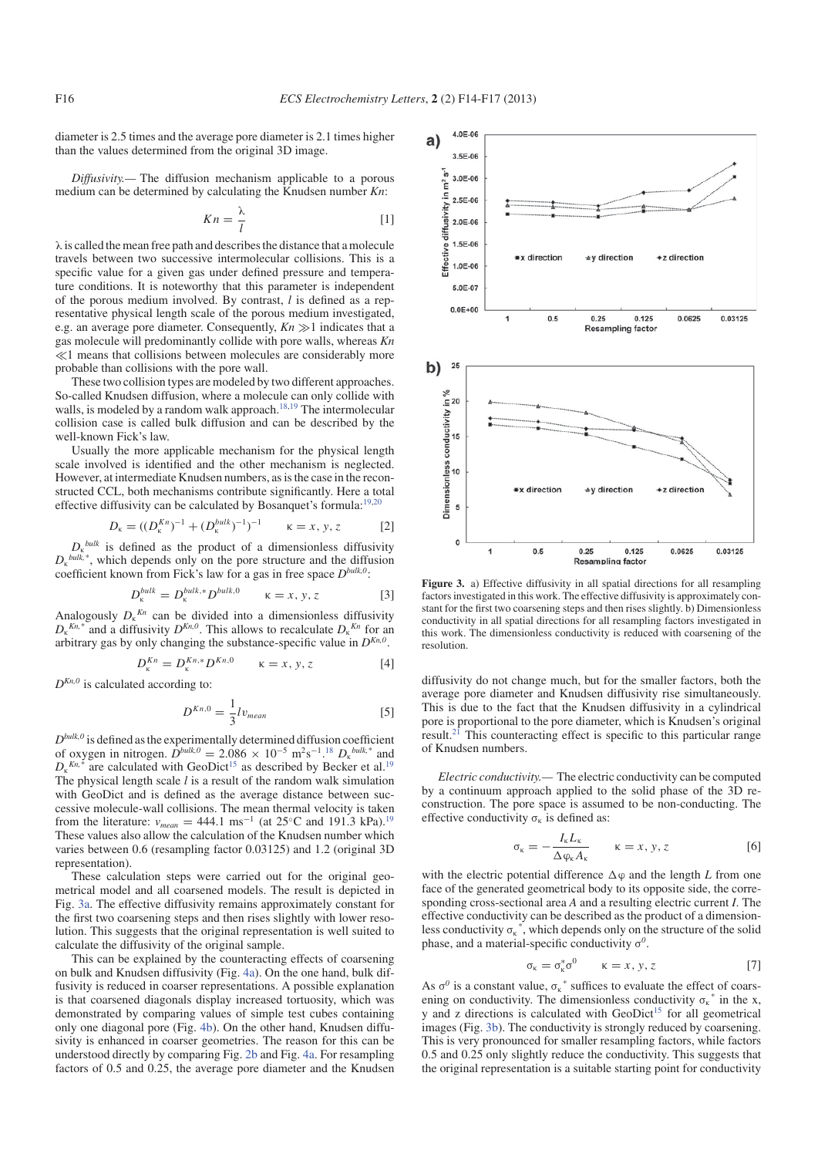diameter is 2.5 times and the average pore diameter is 2.1 times higher than the values determined from the original 3D image.

*Diffusivity.—* The diffusion mechanism applicable to a porous medium can be determined by calculating the Knudsen number *Kn*:

$$
Kn = \frac{\lambda}{l} \tag{1}
$$

λ is called the mean free path and describes the distance that a molecule travels between two successive intermolecular collisions. This is a specific value for a given gas under defined pressure and temperature conditions. It is noteworthy that this parameter is independent of the porous medium involved. By contrast, *l* is defined as a representative physical length scale of the porous medium investigated, e.g. an average pore diameter. Consequently,  $Kn \gg 1$  indicates that a gas molecule will predominantly collide with pore walls, whereas *Kn*  $\ll$ 1 means that collisions between molecules are considerably more probable than collisions with the pore wall.

These two collision types are modeled by two different approaches. So-called Knudsen diffusion, where a molecule can only collide with walls, is modeled by a random walk approach.<sup>18,19</sup> The intermolecular collision case is called bulk diffusion and can be described by the well-known Fick's law.

Usually the more applicable mechanism for the physical length scale involved is identified and the other mechanism is neglected. However, at intermediate Knudsen numbers, as is the case in the reconstructed CCL, both mechanisms contribute significantly. Here a total effective diffusivity can be calculated by Bosanquet's formula: $19,20$ 

$$
D_{\kappa} = ((D_{\kappa}^{Kn})^{-1} + (D_{\kappa}^{bulk})^{-1})^{-1} \qquad \kappa = x, y, z \qquad [2]
$$

 $D_k$ <sup>bulk</sup> is defined as the product of a dimensionless diffusivity  $D_{k}^{bulk,*}$ , which depends only on the pore structure and the diffusion coefficient known from Fick's law for a gas in free space *Dbulk,0*:

$$
D_{\kappa}^{bulk} = D_{\kappa}^{bulk,*} D^{bulk,0} \qquad \kappa = x, y, z \tag{3}
$$

Analogously  $D_{k}^{Kn}$  can be divided into a dimensionless diffusivity  $D_{\kappa}^{K_{n,*}}$  and a diffusivity  $D^{K_{n,0}}$ . This allows to recalculate  $D_{\kappa}^{K_{n}}$  for an arbitrary gas by only changing the substance-specific value in  $D^{Kn,0}$ .

$$
D_{\kappa}^{Kn} = D_{\kappa}^{Kn,*} D^{Kn,0} \qquad \kappa = x, y, z
$$
 [4]

 $D^{Kn,0}$  is calculated according to:

$$
D^{Kn,0} = \frac{1}{3}lv_{mean}
$$
 [5]

 $D^{bulk,0}$  is defined as the experimentally determined diffusion coefficient of oxygen in nitrogen.  $D^{bulk,0} = 2.086 \times 10^{-5} \text{ m}^2 \text{s}^{-1}$ .<sup>18</sup>  $D_k^{bulk,*}$  and  $D_{\kappa}^{Kn,*}$ <sup>\*</sup> are calculated with GeoDict<sup>15</sup> as described by Becker et al.<sup>19</sup> The physical length scale *l* is a result of the random walk simulation with GeoDict and is defined as the average distance between successive molecule-wall collisions. The mean thermal velocity is taken from the literature:  $v_{mean} = 444.1 \text{ ms}^{-1}$  (at 25<sup>°</sup>C and 191.3 kPa).<sup>19</sup> These values also allow the calculation of the Knudsen number which varies between 0.6 (resampling factor 0.03125) and 1.2 (original 3D representation).

These calculation steps were carried out for the original geometrical model and all coarsened models. The result is depicted in Fig. 3a. The effective diffusivity remains approximately constant for the first two coarsening steps and then rises slightly with lower resolution. This suggests that the original representation is well suited to calculate the diffusivity of the original sample.

This can be explained by the counteracting effects of coarsening on bulk and Knudsen diffusivity (Fig. 4a). On the one hand, bulk diffusivity is reduced in coarser representations. A possible explanation is that coarsened diagonals display increased tortuosity, which was demonstrated by comparing values of simple test cubes containing only one diagonal pore (Fig. 4b). On the other hand, Knudsen diffusivity is enhanced in coarser geometries. The reason for this can be understood directly by comparing Fig. 2b and Fig. 4a. For resampling factors of 0.5 and 0.25, the average pore diameter and the Knudsen



Figure 3. a) Effective diffusivity in all spatial directions for all resampling factors investigated in this work. The effective diffusivity is approximately constant for the first two coarsening steps and then rises slightly. b) Dimensionless conductivity in all spatial directions for all resampling factors investigated in this work. The dimensionless conductivity is reduced with coarsening of the resolution.

diffusivity do not change much, but for the smaller factors, both the average pore diameter and Knudsen diffusivity rise simultaneously. This is due to the fact that the Knudsen diffusivity in a cylindrical pore is proportional to the pore diameter, which is Knudsen's original result.<sup>21</sup> This counteracting effect is specific to this particular range of Knudsen numbers.

*Electric conductivity.—* The electric conductivity can be computed by a continuum approach applied to the solid phase of the 3D reconstruction. The pore space is assumed to be non-conducting. The effective conductivity  $\sigma_k$  is defined as:

$$
\sigma_{\kappa} = -\frac{I_{\kappa}L_{\kappa}}{\Delta \varphi_{\kappa}A_{\kappa}} \qquad \kappa = x, y, z
$$
 [6]

with the electric potential difference  $\Delta \varphi$  and the length *L* from one face of the generated geometrical body to its opposite side, the corresponding cross-sectional area *A* and a resulting electric current *I*. The effective conductivity can be described as the product of a dimensionless conductivity  $\sigma_k^*$ , which depends only on the structure of the solid phase, and a material-specific conductivity σ*<sup>0</sup>*.

$$
\sigma_{\kappa} = \sigma_{\kappa}^* \sigma^0 \qquad \kappa = x, y, z \tag{7}
$$

As  $\sigma^0$  is a constant value,  $\sigma_k^*$  suffices to evaluate the effect of coarsening on conductivity. The dimensionless conductivity  $\sigma_k^*$  in the x, y and z directions is calculated with  $GeoDict<sup>15</sup>$  for all geometrical images (Fig. 3b). The conductivity is strongly reduced by coarsening. This is very pronounced for smaller resampling factors, while factors 0.5 and 0.25 only slightly reduce the conductivity. This suggests that the original representation is a suitable starting point for conductivity